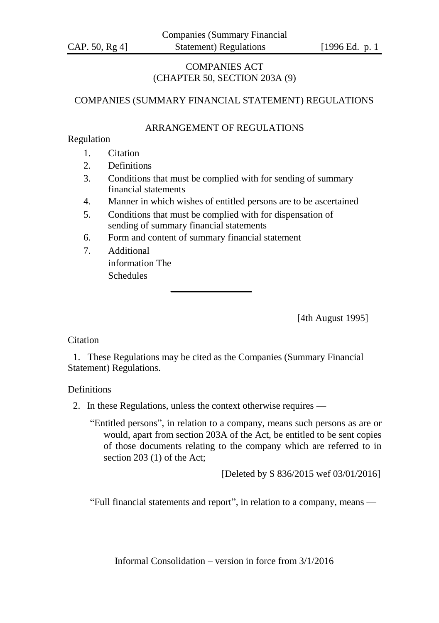# COMPANIES ACT (CHAPTER 50, SECTION 203A (9)

# COMPANIES (SUMMARY FINANCIAL STATEMENT) REGULATIONS

## ARRANGEMENT OF REGULATIONS

### Regulation

- 1. Citation
- 2. Definitions
- 3. Conditions that must be complied with for sending of summary financial statements
- 4. Manner in which wishes of entitled persons are to be ascertained
- 5. Conditions that must be complied with for dispensation of sending of summary financial statements
- 6. Form and content of summary financial statement
- 7. Additional information The **Schedules**

[4th August 1995]

### **Citation**

1. These Regulations may be cited as the Companies (Summary Financial Statement) Regulations.

### **Definitions**

2. In these Regulations, unless the context otherwise requires —

"Entitled persons", in relation to a company, means such persons as are or would, apart from section 203A of the Act, be entitled to be sent copies of those documents relating to the company which are referred to in section 203 (1) of the Act;

[Deleted by S 836/2015 wef 03/01/2016]

"Full financial statements and report", in relation to a company, means —

Informal Consolidation – version in force from 3/1/2016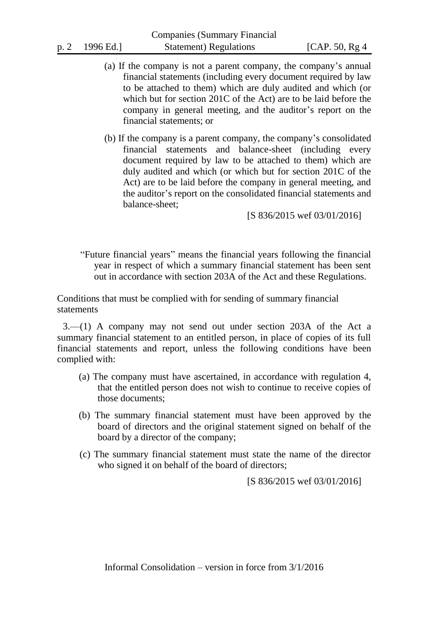- (a) If the company is not a parent company, the company's annual financial statements (including every document required by law to be attached to them) which are duly audited and which (or which but for section 201C of the Act) are to be laid before the company in general meeting, and the auditor's report on the financial statements; or
- (b) If the company is a parent company, the company's consolidated financial statements and balance-sheet (including every document required by law to be attached to them) which are duly audited and which (or which but for section 201C of the Act) are to be laid before the company in general meeting, and the auditor's report on the consolidated financial statements and balance-sheet;

[S 836/2015 wef 03/01/2016]

"Future financial years" means the financial years following the financial year in respect of which a summary financial statement has been sent out in accordance with section 203A of the Act and these Regulations.

Conditions that must be complied with for sending of summary financial statements

3.—(1) A company may not send out under section 203A of the Act a summary financial statement to an entitled person, in place of copies of its full financial statements and report, unless the following conditions have been complied with:

- (a) The company must have ascertained, in accordance with regulation 4, that the entitled person does not wish to continue to receive copies of those documents;
- (b) The summary financial statement must have been approved by the board of directors and the original statement signed on behalf of the board by a director of the company;
- (c) The summary financial statement must state the name of the director who signed it on behalf of the board of directors;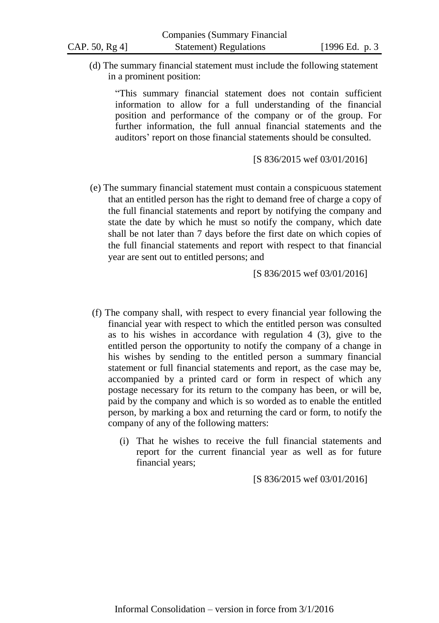(d) The summary financial statement must include the following statement in a prominent position:

"This summary financial statement does not contain sufficient information to allow for a full understanding of the financial position and performance of the company or of the group. For further information, the full annual financial statements and the auditors' report on those financial statements should be consulted.

[S 836/2015 wef 03/01/2016]

(e) The summary financial statement must contain a conspicuous statement that an entitled person has the right to demand free of charge a copy of the full financial statements and report by notifying the company and state the date by which he must so notify the company, which date shall be not later than 7 days before the first date on which copies of the full financial statements and report with respect to that financial year are sent out to entitled persons; and

[S 836/2015 wef 03/01/2016]

- (f) The company shall, with respect to every financial year following the financial year with respect to which the entitled person was consulted as to his wishes in accordance with regulation 4 (3), give to the entitled person the opportunity to notify the company of a change in his wishes by sending to the entitled person a summary financial statement or full financial statements and report, as the case may be, accompanied by a printed card or form in respect of which any postage necessary for its return to the company has been, or will be, paid by the company and which is so worded as to enable the entitled person, by marking a box and returning the card or form, to notify the company of any of the following matters:
	- (i) That he wishes to receive the full financial statements and report for the current financial year as well as for future financial years;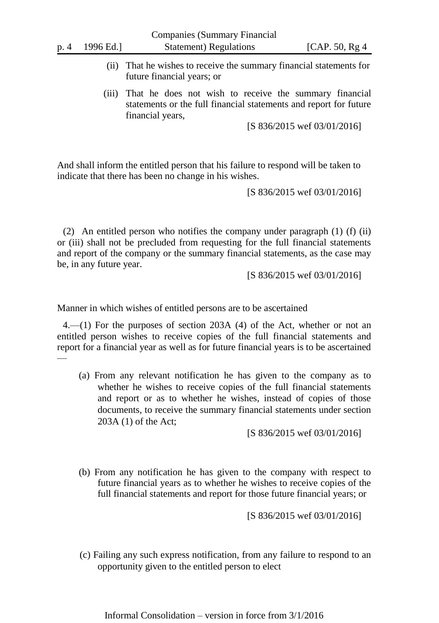- (ii) That he wishes to receive the summary financial statements for future financial years; or
- (iii) That he does not wish to receive the summary financial statements or the full financial statements and report for future financial years,

[S 836/2015 wef 03/01/2016]

And shall inform the entitled person that his failure to respond will be taken to indicate that there has been no change in his wishes.

[S 836/2015 wef 03/01/2016]

(2) An entitled person who notifies the company under paragraph (1) (f) (ii) or (iii) shall not be precluded from requesting for the full financial statements and report of the company or the summary financial statements, as the case may be, in any future year.

[S 836/2015 wef 03/01/2016]

Manner in which wishes of entitled persons are to be ascertained

4.—(1) For the purposes of section 203A (4) of the Act, whether or not an entitled person wishes to receive copies of the full financial statements and report for a financial year as well as for future financial years is to be ascertained —

(a) From any relevant notification he has given to the company as to whether he wishes to receive copies of the full financial statements and report or as to whether he wishes, instead of copies of those documents, to receive the summary financial statements under section 203A (1) of the Act;

[S 836/2015 wef 03/01/2016]

(b) From any notification he has given to the company with respect to future financial years as to whether he wishes to receive copies of the full financial statements and report for those future financial years; or

[S 836/2015 wef 03/01/2016]

(c) Failing any such express notification, from any failure to respond to an opportunity given to the entitled person to elect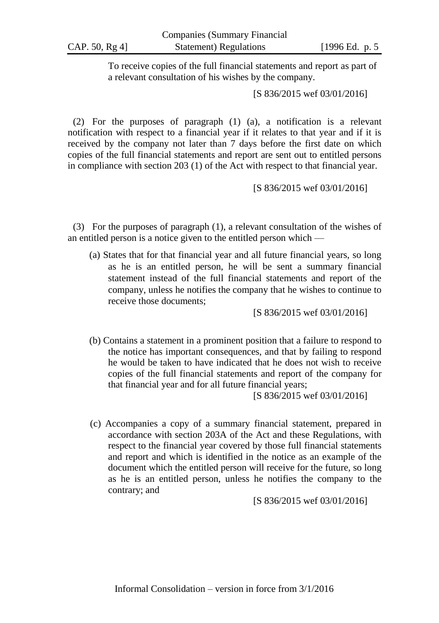To receive copies of the full financial statements and report as part of a relevant consultation of his wishes by the company.

[S 836/2015 wef 03/01/2016]

(2) For the purposes of paragraph (1) (a), a notification is a relevant notification with respect to a financial year if it relates to that year and if it is received by the company not later than 7 days before the first date on which copies of the full financial statements and report are sent out to entitled persons in compliance with section 203 (1) of the Act with respect to that financial year.

[S 836/2015 wef 03/01/2016]

(3) For the purposes of paragraph (1), a relevant consultation of the wishes of an entitled person is a notice given to the entitled person which —

(a) States that for that financial year and all future financial years, so long as he is an entitled person, he will be sent a summary financial statement instead of the full financial statements and report of the company, unless he notifies the company that he wishes to continue to receive those documents;

[S 836/2015 wef 03/01/2016]

(b) Contains a statement in a prominent position that a failure to respond to the notice has important consequences, and that by failing to respond he would be taken to have indicated that he does not wish to receive copies of the full financial statements and report of the company for that financial year and for all future financial years;

[S 836/2015 wef 03/01/2016]

(c) Accompanies a copy of a summary financial statement, prepared in accordance with section 203A of the Act and these Regulations, with respect to the financial year covered by those full financial statements and report and which is identified in the notice as an example of the document which the entitled person will receive for the future, so long as he is an entitled person, unless he notifies the company to the contrary; and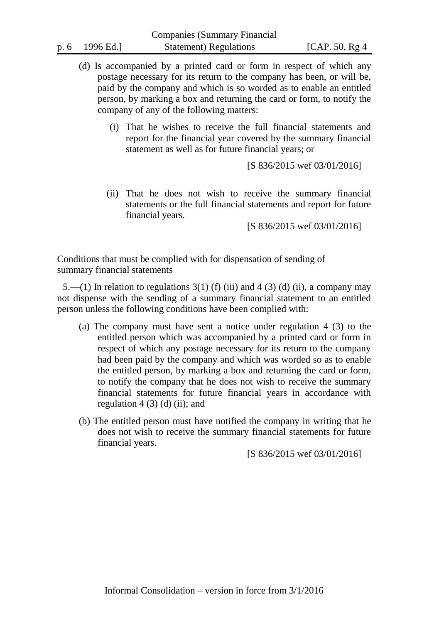- (d) Is accompanied by a printed card or form in respect of which any postage necessary for its return to the company has been, or will be, paid by the company and which is so worded as to enable an entitled person, by marking a box and returning the card or form, to notify the company of any of the following matters:
	- (i) That he wishes to receive the full financial statements and report for the financial year covered by the summary financial statement as well as for future financial years; or

[S 836/2015 wef 03/01/2016]

(ii) That he does not wish to receive the summary financial statements or the full financial statements and report for future financial years.

[S 836/2015 wef 03/01/2016]

Conditions that must be complied with for dispensation of sending of summary financial statements

5.—(1) In relation to regulations  $3(1)$  (f) (iii) and 4 (3) (d) (ii), a company may not dispense with the sending of a summary financial statement to an entitled person unless the following conditions have been complied with:

- (a) The company must have sent a notice under regulation 4 (3) to the entitled person which was accompanied by a printed card or form in respect of which any postage necessary for its return to the company had been paid by the company and which was worded so as to enable the entitled person, by marking a box and returning the card or form, to notify the company that he does not wish to receive the summary financial statements for future financial years in accordance with regulation  $4(3)(d)(ii)$ ; and
- (b) The entitled person must have notified the company in writing that he does not wish to receive the summary financial statements for future financial years.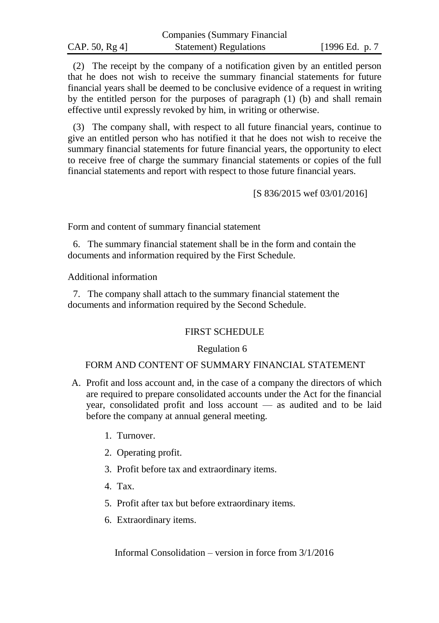|                | Companies (Summary Financial |                 |
|----------------|------------------------------|-----------------|
| CAP. 50, Rg 4] | Statement) Regulations       | [1996 Ed. p. 7] |

 $\mathbf{C}$  companies ( $\mathbf{C}$  and  $\mathbf{C}$  and  $\mathbf{C}$   $\mathbf{C}$  and  $\mathbf{C}$  and  $\mathbf{C}$ 

(2) The receipt by the company of a notification given by an entitled person that he does not wish to receive the summary financial statements for future financial years shall be deemed to be conclusive evidence of a request in writing by the entitled person for the purposes of paragraph (1) (b) and shall remain effective until expressly revoked by him, in writing or otherwise.

(3) The company shall, with respect to all future financial years, continue to give an entitled person who has notified it that he does not wish to receive the summary financial statements for future financial years, the opportunity to elect to receive free of charge the summary financial statements or copies of the full financial statements and report with respect to those future financial years.

[S 836/2015 wef 03/01/2016]

Form and content of summary financial statement

6. The summary financial statement shall be in the form and contain the documents and information required by the First Schedule.

Additional information

7. The company shall attach to the summary financial statement the documents and information required by the Second Schedule.

### FIRST SCHEDULE

#### Regulation 6

# FORM AND CONTENT OF SUMMARY FINANCIAL STATEMENT

- A. Profit and loss account and, in the case of a company the directors of which are required to prepare consolidated accounts under the Act for the financial year, consolidated profit and loss account — as audited and to be laid before the company at annual general meeting.
	- 1. Turnover.
	- 2. Operating profit.
	- 3. Profit before tax and extraordinary items.
	- 4. Tax.
	- 5. Profit after tax but before extraordinary items.
	- 6. Extraordinary items.

Informal Consolidation – version in force from 3/1/2016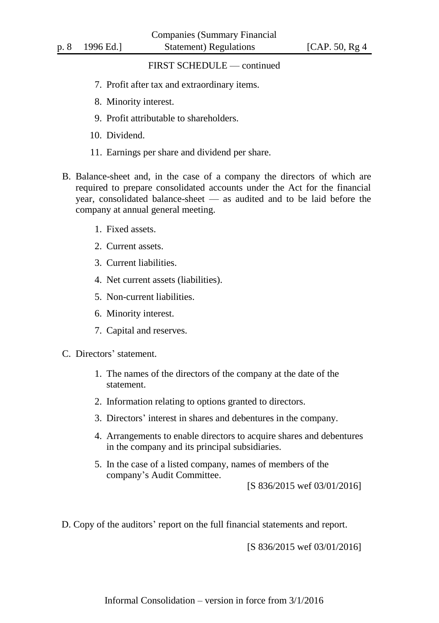## FIRST SCHEDULE — continued

- 7. Profit after tax and extraordinary items.
- 8. Minority interest.
- 9. Profit attributable to shareholders.
- 10. Dividend.
- 11. Earnings per share and dividend per share.
- B. Balance-sheet and, in the case of a company the directors of which are required to prepare consolidated accounts under the Act for the financial year, consolidated balance-sheet — as audited and to be laid before the company at annual general meeting.
	- 1. Fixed assets.
	- 2. Current assets.
	- 3. Current liabilities.
	- 4. Net current assets (liabilities).
	- 5. Non-current liabilities.
	- 6. Minority interest.
	- 7. Capital and reserves.
- C. Directors' statement.
	- 1. The names of the directors of the company at the date of the statement.
	- 2. Information relating to options granted to directors.
	- 3. Directors' interest in shares and debentures in the company.
	- 4. Arrangements to enable directors to acquire shares and debentures in the company and its principal subsidiaries.
	- 5. In the case of a listed company, names of members of the company's Audit Committee.

[S 836/2015 wef 03/01/2016]

D. Copy of the auditors' report on the full financial statements and report.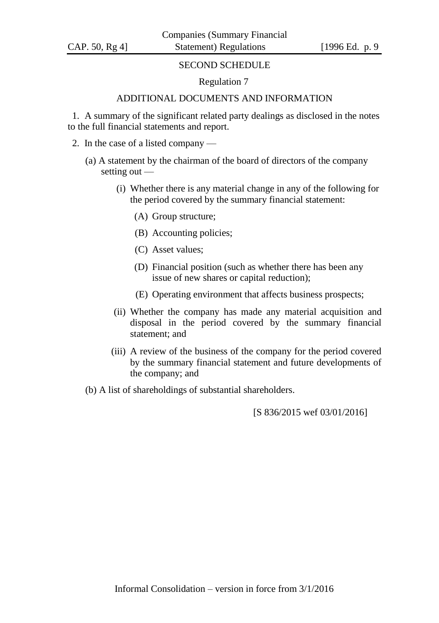## SECOND SCHEDULE

### Regulation 7

# ADDITIONAL DOCUMENTS AND INFORMATION

1. A summary of the significant related party dealings as disclosed in the notes to the full financial statements and report.

- 2. In the case of a listed company
	- (a) A statement by the chairman of the board of directors of the company setting out —
		- (i) Whether there is any material change in any of the following for the period covered by the summary financial statement:
			- (A) Group structure;
			- (B) Accounting policies;
			- (C) Asset values;
			- (D) Financial position (such as whether there has been any issue of new shares or capital reduction);
			- (E) Operating environment that affects business prospects;
		- (ii) Whether the company has made any material acquisition and disposal in the period covered by the summary financial statement; and
		- (iii) A review of the business of the company for the period covered by the summary financial statement and future developments of the company; and
	- (b) A list of shareholdings of substantial shareholders.